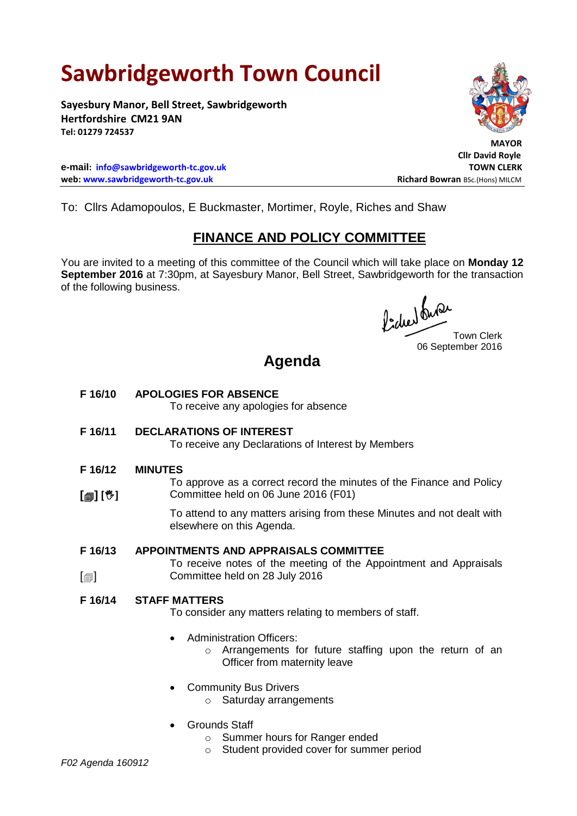# **Sawbridgeworth Town Council**

**Sayesbury Manor, Bell Street, Sawbridgeworth Hertfordshire CM21 9AN Tel: 01279 724537**

**e-mail: [info@sawbridgeworth-tc.gov.uk](mailto:info@sawbridgeworth-tc.gov.uk) TOWN CLERK web: www.sawbridgeworth-tc.gov.uk Richard Bowran BSc.(Hons) MILCM Richard Bowran BSc.(Hons) MILCM** 

To: Cllrs Adamopoulos, E Buckmaster, Mortimer, Royle, Riches and Shaw

### **FINANCE AND POLICY COMMITTEE**

You are invited to a meeting of this committee of the Council which will take place on **Monday 12 September 2016** at 7:30pm, at Sayesbury Manor, Bell Street, Sawbridgeworth for the transaction of the following business.

fided onder

06 September 2016

## **Agenda**

**F 16/10 APOLOGIES FOR ABSENCE**

To receive any apologies for absence

**F 16/11 DECLARATIONS OF INTEREST**

To receive any Declarations of Interest by Members

**F 16/12 MINUTES**

**[] []** To approve as a correct record the minutes of the Finance and Policy Committee held on 06 June 2016 (F01)

> To attend to any matters arising from these Minutes and not dealt with elsewhere on this Agenda.

#### **F 16/13 APPOINTMENTS AND APPRAISALS COMMITTEE**

To receive notes of the meeting of the Appointment and Appraisals Committee held on 28 July 2016

#### **F 16/14 STAFF MATTERS**

To consider any matters relating to members of staff.

- Administration Officers:
	- o Arrangements for future staffing upon the return of an Officer from maternity leave
- Community Bus Drivers
	- o Saturday arrangements
- Grounds Staff
	- o Summer hours for Ranger ended
	- o Student provided cover for summer period

 $\lceil$  $\blacksquare$ 

 **MAYOR**

**Cllr David Royle**